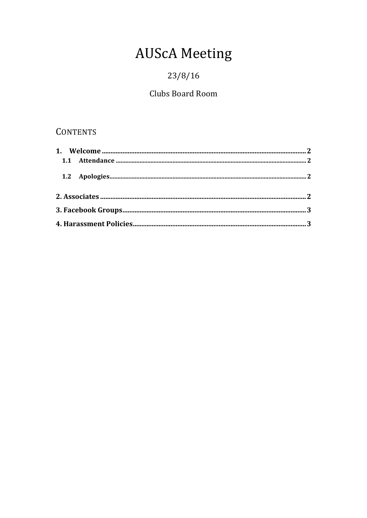# **AUScA Meeting**

# $23/8/16$

# Clubs Board Room

# **CONTENTS**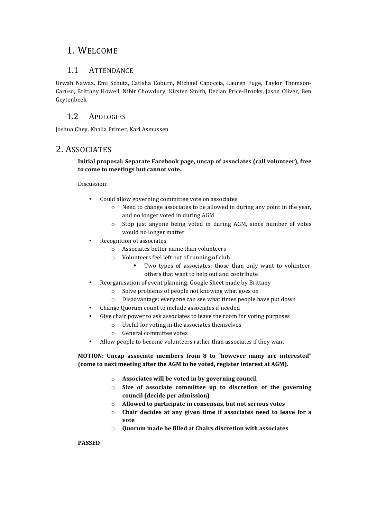### 1. WELCOME

### 1.1 ATTENDANCE

Urwah Nawaz, Emi Schutz, Catisha Coburn, Michael Capoccia, Lauren Fuge, Taylor Thomson-Caruso, Brittany Howell, Nibir Chowdury, Kirsten Smith, Declan Price-Brooks, Jason Oliver, Ben Geytenbeek

### 1.2 APOLOGIES

Joshua Chey, Khalia Primer, Karl Asmussen

### 2. ASSOCIATES

#### **Initial proposal: Separate Facebook page, uncap of associates (call volunteer), free** to come to meetings but cannot vote.

#### Discussion:

- Could allow governing committee vote on associates
	- $\circ$  Need to change associates to be allowed in during any point in the year, and no longer voted in during AGM
	- $\circ$  Stop just anyone being voted in during AGM, since number of votes would no longer matter
- Recognition of associates
	- $\circ$  Associates better name than volunteers
	- $\circ$  Volunteers feel left out of running of club
		- Two types of associates: those than only want to volunteer, others that want to help out and contribute
- Reorganisation of event planning: Google Sheet made by Brittany
	- $\circ$  Solve problems of people not knowing what goes on
	- o Disadvantage: everyone can see what times people have put down
- Change Quorum count to include associates if needed
- Give chair power to ask associates to leave the room for voting purposes
	- $\circ$  Useful for voting in the associates themselves
	- o General committee votes
- Allow people to become volunteers rather than associates if they want

**MOTION: Uncap associate members from 8 to "however many are interested" (come to next meeting after the AGM to be voted, register interest at AGM).** 

- o **Associates will be voted in by governing council**
- $\circ$  Size of associate committee up to discretion of the governing **council (decide per admission)**
- o **Allowed to participate in consensus, but not serious votes**
- o **Chair decides at any given time if associates need to leave for a vote**
- o **Quorum made be filled at Chairs discretion with associates**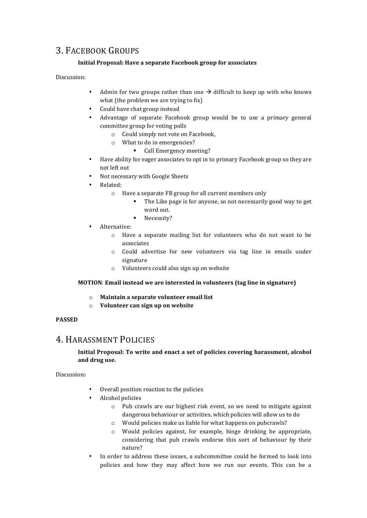### 3. FACEBOOK GROUPS

### **Initial Proposal: Have a separate Facebook group for associates**

Discussion:

- Admin for two groups rather than one  $\rightarrow$  difficult to keep up with who knows what (the problem we are trying to fix)
- Could have chat group instead
- Advantage of separate Facebook group would be to use a primary general committee group for voting polls
	- o Could simply not vote on Facebook,
	- $\circ$  What to do in emergencies?
		- Call Emergency meeting?
- Have ability for eager associates to opt in to primary Facebook group so they are not left out
- Not necessary with Google Sheets
- Related:
	- $\circ$  Have a separate FB group for all current members only
		- The Like page is for anyone, so not necessarily good way to get word out.
		- Necessity?
- Alternative:
	- $\circ$  Have a separate mailing list for volunteers who do not want to be associates
	- o Could advertise for new volunteers via tag line in emails under signature
	- o Volunteers could also sign up on website

#### **MOTION:** Email instead we are interested in volunteers (tag line in signature)

- o **Maintain a separate volunteer email list**
- o **Volunteer can sign up on website**

#### **PASSED**

### 4. HARASSMENT POLICIES

#### **Initial Proposal: To write and enact a set of policies covering harassment, alcohol** and drug use.

#### Discussion**:**

- Overall position reaction to the policies
- Alcohol policies
	- o Pub crawls are our highest risk event, so we need to mitigate against dangerous behaviour or activities, which policies will allow us to do
	- $\circ$  Would policies make us liable for what happens on pubcrawls?
	- $\circ$  Would policies against, for example, binge drinking be appropriate, considering that pub crawls endorse this sort of behaviour by their nature?
- In order to address these issues, a subcommittee could be formed to look into policies and how they may affect how we run our events. This can be a